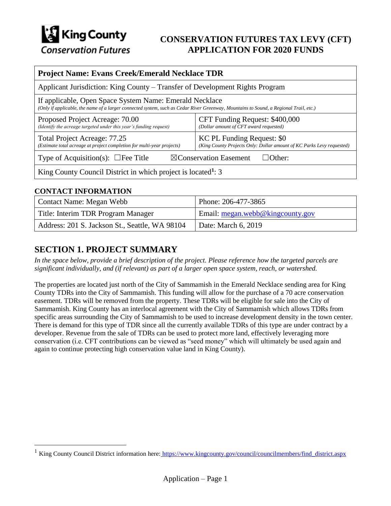

### **CONSERVATION FUTURES TAX LEVY (CFT) APPLICATION FOR 2020 FUNDS**

| <b>Project Name: Evans Creek/Emerald Necklace TDR</b>                                                                                                                                            |                                                                                                     |  |
|--------------------------------------------------------------------------------------------------------------------------------------------------------------------------------------------------|-----------------------------------------------------------------------------------------------------|--|
| Applicant Jurisdiction: King County – Transfer of Development Rights Program                                                                                                                     |                                                                                                     |  |
| If applicable, Open Space System Name: Emerald Necklace<br>(Only if applicable, the name of a larger connected system, such as Cedar River Greenway, Mountains to Sound, a Regional Trail, etc.) |                                                                                                     |  |
| Proposed Project Acreage: 70.00<br>(Identify the acreage targeted under this year's funding request)                                                                                             | CFT Funding Request: \$400,000<br>(Dollar amount of CFT award requested)                            |  |
| Total Project Acreage: 77.25<br>(Estimate total acreage at project completion for multi-year projects)                                                                                           | KC PL Funding Request: \$0<br>(King County Projects Only: Dollar amount of KC Parks Levy requested) |  |
| Type of Acquisition(s): $\Box$ Fee Title<br>⊠Conservation Easement<br>   Other:                                                                                                                  |                                                                                                     |  |
| King County Council District in which project is located <sup>1</sup> : 3                                                                                                                        |                                                                                                     |  |

#### **CONTACT INFORMATION**

 $\overline{a}$ 

| Contact Name: Megan Webb                       | Phone: 206-477-3865                                                               |
|------------------------------------------------|-----------------------------------------------------------------------------------|
| Title: Interim TDR Program Manager             | Email: $\text{mean} \cdot \text{webb} \circledcirc \text{king} \cdot \text{conv}$ |
| Address: 201 S. Jackson St., Seattle, WA 98104 | Date: March 6, 2019                                                               |

### **SECTION 1. PROJECT SUMMARY**

*In the space below, provide a brief description of the project. Please reference how the targeted parcels are significant individually, and (if relevant) as part of a larger open space system, reach, or watershed.*

The properties are located just north of the City of Sammamish in the Emerald Necklace sending area for King County TDRs into the City of Sammamish. This funding will allow for the purchase of a 70 acre conservation easement. TDRs will be removed from the property. These TDRs will be eligible for sale into the City of Sammamish. King County has an interlocal agreement with the City of Sammamish which allows TDRs from specific areas surrounding the City of Sammamish to be used to increase development density in the town center. There is demand for this type of TDR since all the currently available TDRs of this type are under contract by a developer. Revenue from the sale of TDRs can be used to protect more land, effectively leveraging more conservation (i.e. CFT contributions can be viewed as "seed money" which will ultimately be used again and again to continue protecting high conservation value land in King County).

<sup>1</sup> King County Council District information here: [https://www.kingcounty.gov/council/councilmembers/find\\_district.aspx](https://www.kingcounty.gov/council/councilmembers/find_district.aspx)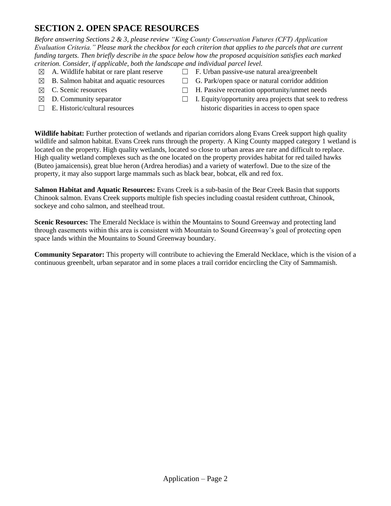# **SECTION 2. OPEN SPACE RESOURCES**

*Before answering Sections 2 & 3, please review "King County Conservation Futures (CFT) Application Evaluation Criteria." Please mark the checkbox for each criterion that applies to the parcels that are current funding targets. Then briefly describe in the space below how the proposed acquisition satisfies each marked criterion. Consider, if applicable, both the landscape and individual parcel level.*

- 
- 
- 
- 
- 
- $\boxtimes$  A. Wildlife habitat or rare plant reserve  $\Box$  F. Urban passive-use natural area/greenbelt
- $\boxtimes$  B. Salmon habitat and aquatic resources  $\Box$  G. Park/open space or natural corridor addition
- $\boxtimes$  C. Scenic resources  $\Box$  H. Passive recreation opportunity/unmet needs
- ☒ D. Community separator ☐ I. Equity/opportunity area projects that seek to redress  $\Box$  E. Historic/cultural resources historic disparities in access to open space

**Wildlife habitat:** Further protection of wetlands and riparian corridors along Evans Creek support high quality wildlife and salmon habitat. Evans Creek runs through the property. A King County mapped category 1 wetland is located on the property. High quality wetlands, located so close to urban areas are rare and difficult to replace. High quality wetland complexes such as the one located on the property provides habitat for red tailed hawks (Buteo jamaicensis), great blue heron (Ardrea herodias) and a variety of waterfowl. Due to the size of the property, it may also support large mammals such as black bear, bobcat, elk and red fox.

**Salmon Habitat and Aquatic Resources:** Evans Creek is a sub-basin of the Bear Creek Basin that supports Chinook salmon. Evans Creek supports multiple fish species including coastal resident cutthroat, Chinook, sockeye and coho salmon, and steelhead trout.

**Scenic Resources:** The Emerald Necklace is within the Mountains to Sound Greenway and protecting land through easements within this area is consistent with Mountain to Sound Greenway's goal of protecting open space lands within the Mountains to Sound Greenway boundary.

**Community Separator:** This property will contribute to achieving the Emerald Necklace, which is the vision of a continuous greenbelt, urban separator and in some places a trail corridor encircling the City of Sammamish.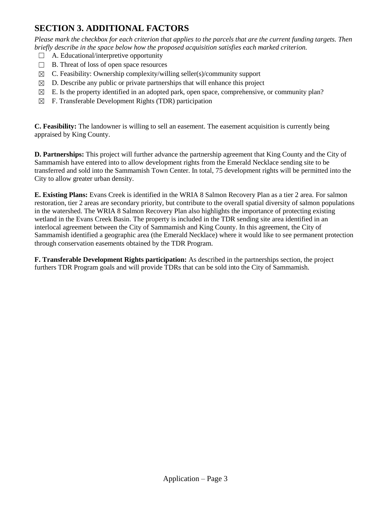# **SECTION 3. ADDITIONAL FACTORS**

*Please mark the checkbox for each criterion that applies to the parcels that are the current funding targets. Then briefly describe in the space below how the proposed acquisition satisfies each marked criterion.*

- □ A. Educational/interpretive opportunity
- $\Box$  B. Threat of loss of open space resources
- $\boxtimes$  C. Feasibility: Ownership complexity/willing seller(s)/community support
- $\boxtimes$  D. Describe any public or private partnerships that will enhance this project
- $\boxtimes$  E. Is the property identified in an adopted park, open space, comprehensive, or community plan?
- $\boxtimes$  F. Transferable Development Rights (TDR) participation

**C. Feasibility:** The landowner is willing to sell an easement. The easement acquisition is currently being appraised by King County.

**D. Partnerships:** This project will further advance the partnership agreement that King County and the City of Sammamish have entered into to allow development rights from the Emerald Necklace sending site to be transferred and sold into the Sammamish Town Center. In total, 75 development rights will be permitted into the City to allow greater urban density.

**E. Existing Plans:** Evans Creek is identified in the WRIA 8 Salmon Recovery Plan as a tier 2 area. For salmon restoration, tier 2 areas are secondary priority, but contribute to the overall spatial diversity of salmon populations in the watershed. The WRIA 8 Salmon Recovery Plan also highlights the importance of protecting existing wetland in the Evans Creek Basin. The property is included in the TDR sending site area identified in an interlocal agreement between the City of Sammamish and King County. In this agreement, the City of Sammamish identified a geographic area (the Emerald Necklace) where it would like to see permanent protection through conservation easements obtained by the TDR Program.

**F. Transferable Development Rights participation:** As described in the partnerships section, the project furthers TDR Program goals and will provide TDRs that can be sold into the City of Sammamish.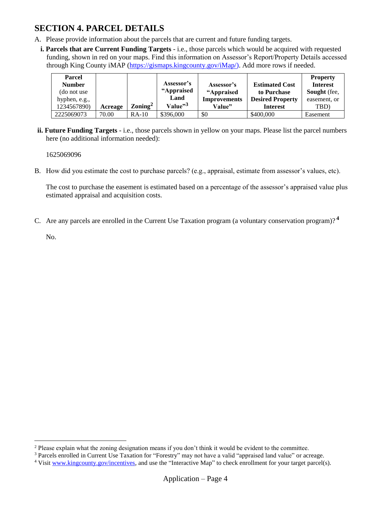### **SECTION 4. PARCEL DETAILS**

- A. Please provide information about the parcels that are current and future funding targets.
	- **i. Parcels that are Current Funding Targets** i.e., those parcels which would be acquired with requested funding, shown in red on your maps. Find this information on Assessor's Report/Property Details accessed through King County iMAP [\(https://gismaps.kingcounty.gov/iMap/\)](https://gismaps.kingcounty.gov/iMap/). Add more rows if needed.

| <b>Parcel</b><br><b>Number</b><br>(do not use)<br>hyphen, e.g., |         |                 | Assessor's<br>"Appraised<br>Land | Assessor's<br>"Appraised<br><b>Improvements</b> | <b>Estimated Cost</b><br>to Purchase<br><b>Desired Property</b> | <b>Property</b><br><b>Interest</b><br><b>Sought</b> (fee,<br>easement, or |
|-----------------------------------------------------------------|---------|-----------------|----------------------------------|-------------------------------------------------|-----------------------------------------------------------------|---------------------------------------------------------------------------|
| 1234567890)                                                     | Acreage | $\rm{Zoning}^2$ | Value" <sup>3</sup>              | Value"                                          | <b>Interest</b>                                                 | TBD)                                                                      |
| 2225069073                                                      | 70.00   | $RA-10$         | \$396,000                        | \$0                                             | \$400,000                                                       | Easement                                                                  |

**ii. Future Funding Targets** - i.e., those parcels shown in yellow on your maps. Please list the parcel numbers here (no additional information needed):

1625069096

B. How did you estimate the cost to purchase parcels? (e.g., appraisal, estimate from assessor's values, etc).

The cost to purchase the easement is estimated based on a percentage of the assessor's appraised value plus estimated appraisal and acquisition costs.

C. Are any parcels are enrolled in the Current Use Taxation program (a voluntary conservation program)? **<sup>4</sup>**

No.

 $\overline{a}$ 

<sup>&</sup>lt;sup>2</sup> Please explain what the zoning designation means if you don't think it would be evident to the committee.

<sup>&</sup>lt;sup>3</sup> Parcels enrolled in Current Use Taxation for "Forestry" may not have a valid "appraised land value" or acreage.

<sup>4</sup> Visi[t www.kingcounty.gov/incentives,](http://www.kingcounty.gov/incentives) and use the "Interactive Map" to check enrollment for your target parcel(s).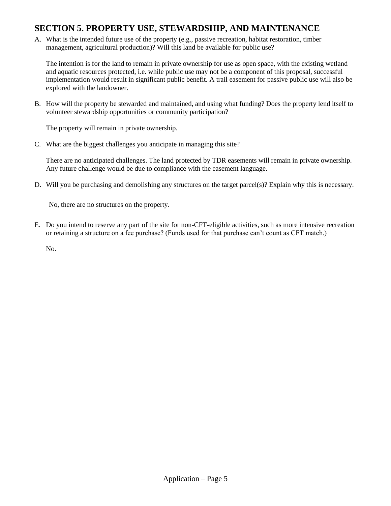### **SECTION 5. PROPERTY USE, STEWARDSHIP, AND MAINTENANCE**

A. What is the intended future use of the property (e.g., passive recreation, habitat restoration, timber management, agricultural production)? Will this land be available for public use?

The intention is for the land to remain in private ownership for use as open space, with the existing wetland and aquatic resources protected, i.e. while public use may not be a component of this proposal, successful implementation would result in significant public benefit. A trail easement for passive public use will also be explored with the landowner.

B. How will the property be stewarded and maintained, and using what funding? Does the property lend itself to volunteer stewardship opportunities or community participation?

The property will remain in private ownership.

C. What are the biggest challenges you anticipate in managing this site?

There are no anticipated challenges. The land protected by TDR easements will remain in private ownership. Any future challenge would be due to compliance with the easement language.

D. Will you be purchasing and demolishing any structures on the target parcel(s)? Explain why this is necessary.

No, there are no structures on the property.

E. Do you intend to reserve any part of the site for non-CFT-eligible activities, such as more intensive recreation or retaining a structure on a fee purchase? (Funds used for that purchase can't count as CFT match.)

No.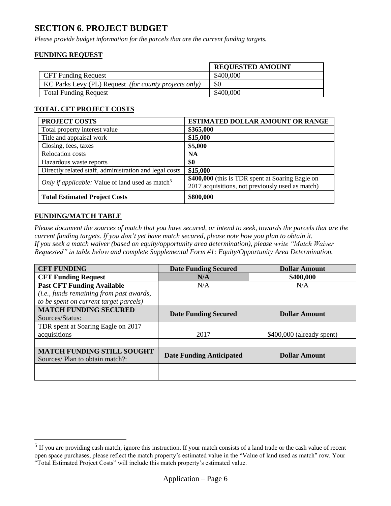#### **SECTION 6. PROJECT BUDGET**

*Please provide budget information for the parcels that are the current funding targets.*

#### **FUNDING REQUEST**

|                                                       | <b>REQUESTED AMOUNT</b> |
|-------------------------------------------------------|-------------------------|
| <b>CFT Funding Request</b>                            | \$400,000               |
| KC Parks Levy (PL) Request (for county projects only) | \$0                     |
| <b>Total Funding Request</b>                          | \$400,000               |

#### **TOTAL CFT PROJECT COSTS**

| PROJECT COSTS                                                | ESTIMATED DOLLAR AMOUNT OR RANGE                 |
|--------------------------------------------------------------|--------------------------------------------------|
| Total property interest value                                | \$365,000                                        |
| Title and appraisal work                                     | \$15,000                                         |
| Closing, fees, taxes                                         | \$5,000                                          |
| <b>Relocation costs</b>                                      | <b>NA</b>                                        |
| Hazardous waste reports                                      | \$0                                              |
| Directly related staff, administration and legal costs       | \$15,000                                         |
| Only if applicable: Value of land used as match <sup>5</sup> | \$400,000 (this is TDR spent at Soaring Eagle on |
|                                                              | 2017 acquisitions, not previously used as match) |
| <b>Total Estimated Project Costs</b>                         | \$800,000                                        |

#### **FUNDING/MATCH TABLE**

 $\overline{a}$ 

*Please document the sources of match that you have secured, or intend to seek, towards the parcels that are the current funding targets. If you don't yet have match secured, please note how you plan to obtain it. If you seek a match waiver (based on equity/opportunity area determination), please write "Match Waiver Requested" in table below and complete Supplemental Form #1: Equity/Opportunity Area Determination.*

| <b>CFT FUNDING</b>                       | <b>Date Funding Secured</b>     | <b>Dollar Amount</b>       |  |
|------------------------------------------|---------------------------------|----------------------------|--|
| <b>CFT Funding Request</b>               | N/A                             | \$400,000                  |  |
| <b>Past CFT Funding Available</b>        | N/A                             | N/A                        |  |
| (i.e., funds remaining from past awards, |                                 |                            |  |
| to be spent on current target parcels)   |                                 |                            |  |
| <b>MATCH FUNDING SECURED</b>             | <b>Date Funding Secured</b>     | <b>Dollar Amount</b>       |  |
| Sources/Status:                          |                                 |                            |  |
| TDR spent at Soaring Eagle on 2017       |                                 |                            |  |
| acquisitions                             | 2017                            | $$400,000$ (already spent) |  |
|                                          |                                 |                            |  |
| <b>MATCH FUNDING STILL SOUGHT</b>        | <b>Date Funding Anticipated</b> | <b>Dollar Amount</b>       |  |
| Sources/ Plan to obtain match?:          |                                 |                            |  |
|                                          |                                 |                            |  |
|                                          |                                 |                            |  |

 $<sup>5</sup>$  If you are providing cash match, ignore this instruction. If your match consists of a land trade or the cash value of recent</sup> open space purchases, please reflect the match property's estimated value in the "Value of land used as match" row. Your "Total Estimated Project Costs" will include this match property's estimated value.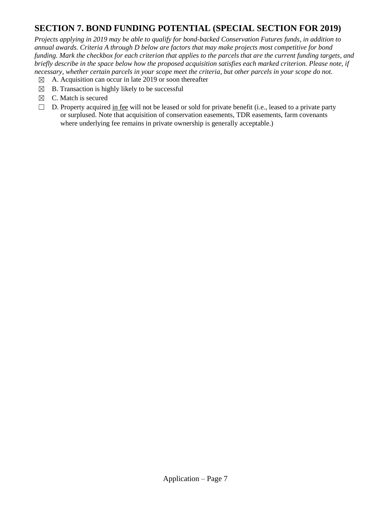# **SECTION 7. BOND FUNDING POTENTIAL (SPECIAL SECTION FOR 2019)**

*Projects applying in 2019 may be able to qualify for bond-backed Conservation Futures funds, in addition to annual awards. Criteria A through D below are factors that may make projects most competitive for bond funding. Mark the checkbox for each criterion that applies to the parcels that are the current funding targets, and briefly describe in the space below how the proposed acquisition satisfies each marked criterion. Please note, if necessary, whether certain parcels in your scope meet the criteria, but other parcels in your scope do not.* 

- $\boxtimes$  A. Acquisition can occur in late 2019 or soon thereafter
- $\boxtimes$  B. Transaction is highly likely to be successful
- $\boxtimes$  C. Match is secured
- □ D. Property acquired in fee will not be leased or sold for private benefit (i.e., leased to a private party or surplused. Note that acquisition of conservation easements, TDR easements, farm covenants where underlying fee remains in private ownership is generally acceptable.)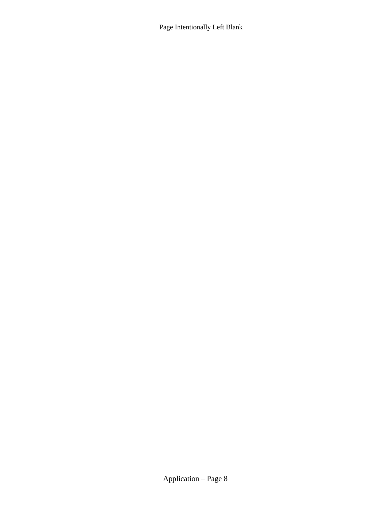Page Intentionally Left Blank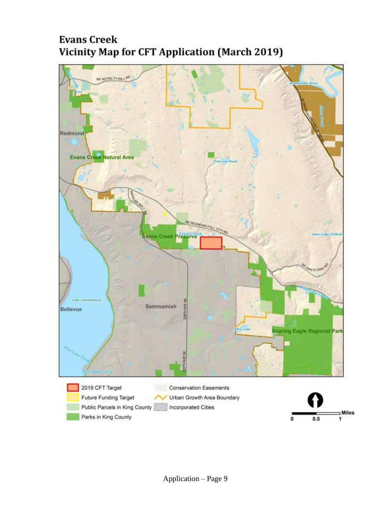# **Evans Creek Vicinity Map for CFT Application (March 2019)**

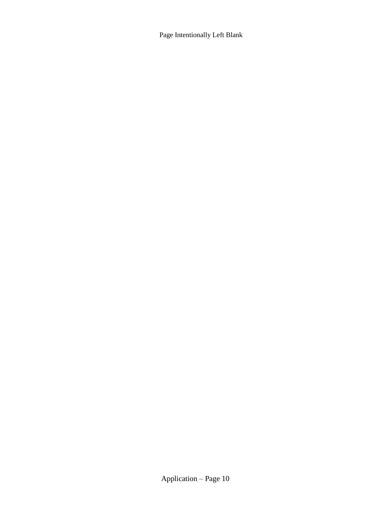Page Intentionally Left Blank